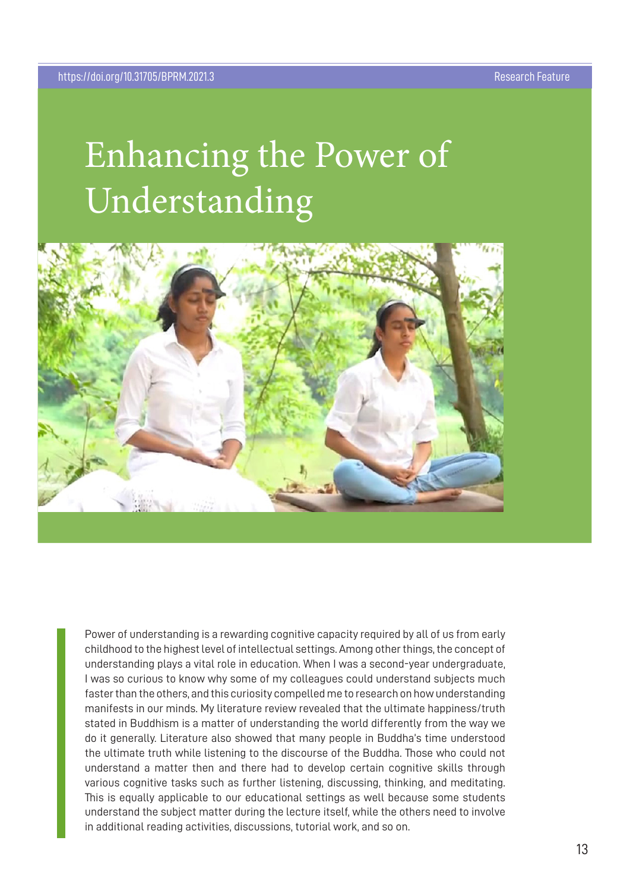## Enhancing the Power of Understanding



Power of understanding is a rewarding cognitive capacity required by all of us from early childhood to the highest level of intellectual settings. Among other things, the concept of understanding plays a vital role in education. When I was a second-year undergraduate, I was so curious to know why some of my colleagues could understand subjects much faster than the others, and this curiosity compelled me to research on how understanding manifests in our minds. My literature review revealed that the ultimate happiness/truth stated in Buddhism is a matter of understanding the world differently from the way we do it generally. Literature also showed that many people in Buddha's time understood the ultimate truth while listening to the discourse of the Buddha. Those who could not understand a matter then and there had to develop certain cognitive skills through various cognitive tasks such as further listening, discussing, thinking, and meditating. This is equally applicable to our educational settings as well because some students understand the subject matter during the lecture itself, while the others need to involve in additional reading activities, discussions, tutorial work, and so on.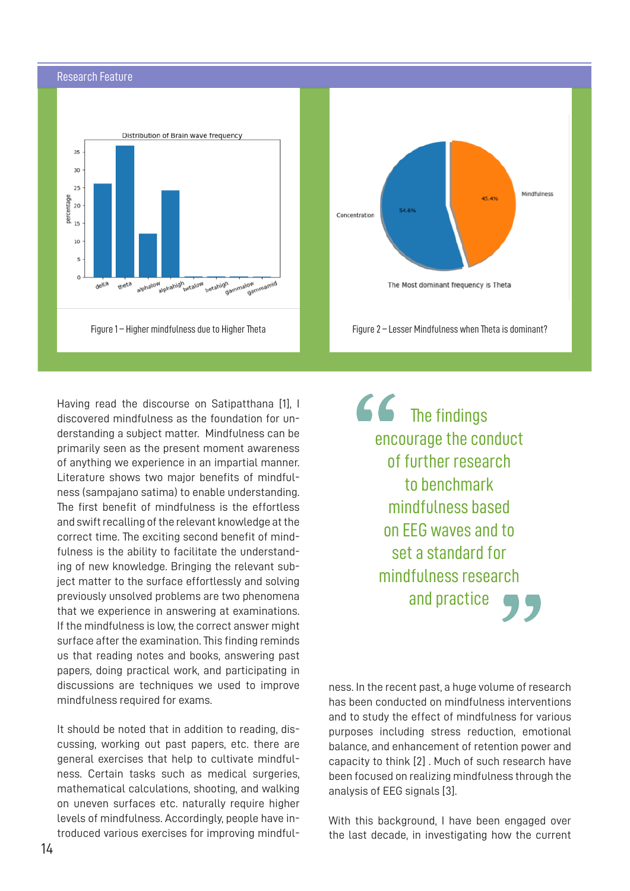## Research Feature





Having read the discourse on Satipatthana [1], I discovered mindfulness as the foundation for understanding a subject matter. Mindfulness can be primarily seen as the present moment awareness of anything we experience in an impartial manner. Literature shows two major benefits of mindfulness (sampajano satima) to enable understanding. The first benefit of mindfulness is the effortless and swift recalling of the relevant knowledge at the correct time. The exciting second benefit of mindfulness is the ability to facilitate the understanding of new knowledge. Bringing the relevant subject matter to the surface effortlessly and solving previously unsolved problems are two phenomena that we experience in answering at examinations. If the mindfulness is low, the correct answer might surface after the examination. This finding reminds us that reading notes and books, answering past papers, doing practical work, and participating in discussions are techniques we used to improve mindfulness required for exams.

It should be noted that in addition to reading, discussing, working out past papers, etc. there are general exercises that help to cultivate mindfulness. Certain tasks such as medical surgeries, mathematical calculations, shooting, and walking on uneven surfaces etc. naturally require higher levels of mindfulness. Accordingly, people have introduced various exercises for improving mindful $66$  The findings encourage the conduct of further research to benchmark mindfulness based on EEG waves and to set a standard for mindfulness research and practice

ness. In the recent past, a huge volume of research has been conducted on mindfulness interventions and to study the effect of mindfulness for various purposes including stress reduction, emotional balance, and enhancement of retention power and capacity to think [2] . Much of such research have been focused on realizing mindfulness through the analysis of EEG signals [3].

With this background, I have been engaged over the last decade, in investigating how the current